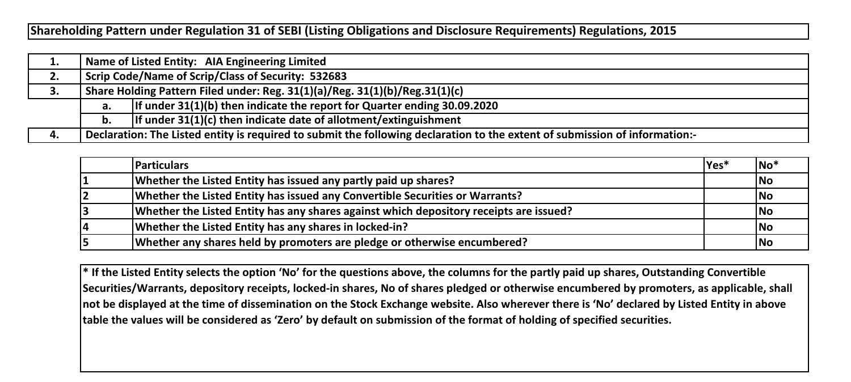**Shareholding Pattern under Regulation 31 of SEBI (Listing Obligations and Disclosure Requirements) Regulations, 2015**

| д. |                                                                             | Name of Listed Entity: AIA Engineering Limited                                                                              |  |  |  |  |  |  |  |  |  |  |
|----|-----------------------------------------------------------------------------|-----------------------------------------------------------------------------------------------------------------------------|--|--|--|--|--|--|--|--|--|--|
| 2. | Scrip Code/Name of Scrip/Class of Security: 532683                          |                                                                                                                             |  |  |  |  |  |  |  |  |  |  |
| 3. | Share Holding Pattern Filed under: Reg. 31(1)(a)/Reg. 31(1)(b)/Reg.31(1)(c) |                                                                                                                             |  |  |  |  |  |  |  |  |  |  |
|    | а.                                                                          | If under $31(1)(b)$ then indicate the report for Quarter ending 30.09.2020                                                  |  |  |  |  |  |  |  |  |  |  |
|    | b.                                                                          | If under $31(1)(c)$ then indicate date of allotment/extinguishment                                                          |  |  |  |  |  |  |  |  |  |  |
| 4. |                                                                             | Declaration: The Listed entity is required to submit the following declaration to the extent of submission of information:- |  |  |  |  |  |  |  |  |  |  |

| <b>Particulars</b>                                                                     | lYes* | $No*$     |
|----------------------------------------------------------------------------------------|-------|-----------|
| Whether the Listed Entity has issued any partly paid up shares?                        |       | <b>No</b> |
| Whether the Listed Entity has issued any Convertible Securities or Warrants?           |       | No        |
| Whether the Listed Entity has any shares against which depository receipts are issued? |       | No        |
| Whether the Listed Entity has any shares in locked-in?                                 |       | No        |
| Whether any shares held by promoters are pledge or otherwise encumbered?               |       | lNo       |

**\* If the Listed Entity selects the option 'No' for the questions above, the columns for the partly paid up shares, Outstanding Convertible Securities/Warrants, depository receipts, locked-in shares, No of shares pledged or otherwise encumbered by promoters, as applicable, shall not be displayed at the time of dissemination on the Stock Exchange website. Also wherever there is 'No' declared by Listed Entity in above table the values will be considered as 'Zero' by default on submission of the format of holding of specified securities.**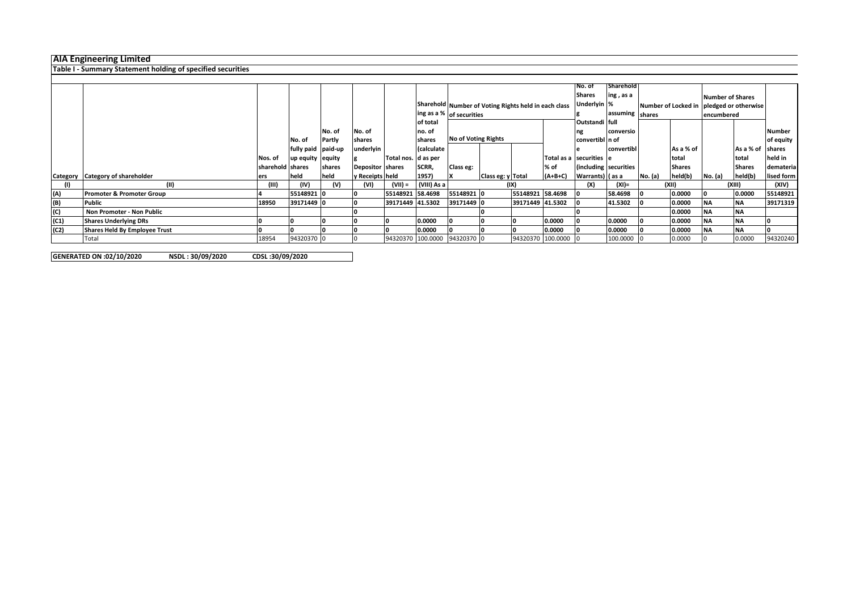## **AIA Engineering Limited**

**Table I - Summary Statement holding of specified securities**

|      |                                  |                  |                    |        |                  |                              |             |            |                                                      |                  |                         | No. of          | Sharehold             |         |               |                                          |                  |            |
|------|----------------------------------|------------------|--------------------|--------|------------------|------------------------------|-------------|------------|------------------------------------------------------|------------------|-------------------------|-----------------|-----------------------|---------|---------------|------------------------------------------|------------------|------------|
|      |                                  |                  |                    |        |                  |                              |             |            |                                                      |                  |                         | <b>Shares</b>   | ing, as a             |         |               | Number of Shares                         |                  |            |
|      |                                  |                  |                    |        |                  |                              |             |            | Sharehold Number of Voting Rights held in each class |                  |                         |                 | Underlyin %           |         |               | Number of Locked in pledged or otherwise |                  |            |
|      |                                  |                  |                    |        |                  |                              |             |            | ing as a % of securities                             |                  |                         |                 | assuming shares       |         |               | encumbered                               |                  |            |
|      |                                  |                  |                    |        |                  |                              | of total    |            |                                                      |                  |                         | Outstandi full  |                       |         |               |                                          |                  |            |
|      |                                  |                  |                    | No. of | No. of           |                              | no. of      |            |                                                      |                  |                         |                 | conversio             |         |               |                                          |                  | Number     |
|      |                                  |                  | No. of             | Partly | shares           |                              | shares      |            | <b>No of Voting Rights</b>                           |                  |                         | convertibl n of |                       |         |               |                                          |                  | of equity  |
|      |                                  |                  | fully paid paid-up |        | underlyin        |                              | (calculate  |            |                                                      |                  |                         |                 | convertibl            |         | As a % of     |                                          | As a % of shares |            |
|      |                                  | Nos. of          | up equity equity   |        |                  | Total nos. d as per          |             |            |                                                      |                  | Total as a securities e |                 |                       |         | total         |                                          | Itotal           | held in    |
|      |                                  | sharehold shares |                    | shares | Depositor shares |                              | SCRR,       | Class eg:  |                                                      |                  | $%$ of                  |                 | (including securities |         | <b>Shares</b> |                                          | <b>Shares</b>    | demateria  |
|      | Category Category of shareholder | ers              | held               | held   | y Receipts held  |                              | 1957)       |            | Class eg: y Total                                    |                  | $(A+B+C)$               | Warrants) (as a |                       | No. (a) | held(b)       | No. (a)                                  | held(b)          | lised form |
|      |                                  | (III)            | (IV)               | (V)    | (VI)             | $(VII) =$                    | (VIII) As a |            |                                                      | (IX)             |                         |                 | $(XI) =$              |         | (XII)         |                                          | (XIII)           | (XIV)      |
| (A)  | Promoter & Promoter Group        |                  | 55148921 0         |        |                  | 55148921 58.4698             |             | 55148921 0 |                                                      | 55148921 58.4698 |                         |                 | 58.4698               |         | 0.0000        |                                          | 0.0000           | 55148921   |
| (B)  | <b>Public</b>                    | 18950            | 39171449 0         |        |                  | 39171449 41.5302             |             | 39171449 0 |                                                      | 39171449 41.5302 |                         |                 | 41.5302               |         | 0.0000        | <b>NA</b>                                | <b>INA</b>       | 39171319   |
| (C)  | Non Promoter - Non Public        |                  |                    |        |                  |                              |             |            |                                                      |                  |                         |                 |                       |         | 0.0000        | <b>NA</b>                                | <b>NA</b>        |            |
| (C1) | <b>Shares Underlying DRs</b>     |                  |                    |        |                  |                              | 0.0000      |            |                                                      |                  | 0.0000                  |                 | 0.0000                |         | 0.0000        | <b>NA</b>                                | <b>NA</b>        |            |
| (C2) | Shares Held By Employee Trust    |                  |                    |        |                  |                              | 0.0000      |            |                                                      |                  | 0.0000                  |                 | 0.0000                |         | 0.0000        | <b>NA</b>                                | <b>NA</b>        |            |
|      | Total                            | 18954            | 94320370 0         |        |                  | 94320370 100.0000 94320370 0 |             |            |                                                      |                  | 94320370 100.0000 0     |                 | 100.0000              |         | 0.0000        |                                          | 0.0000           | 94320240   |

**GENERATED ON :02/10/2020 NSDL : 30/09/2020 CDSL :30/09/2020**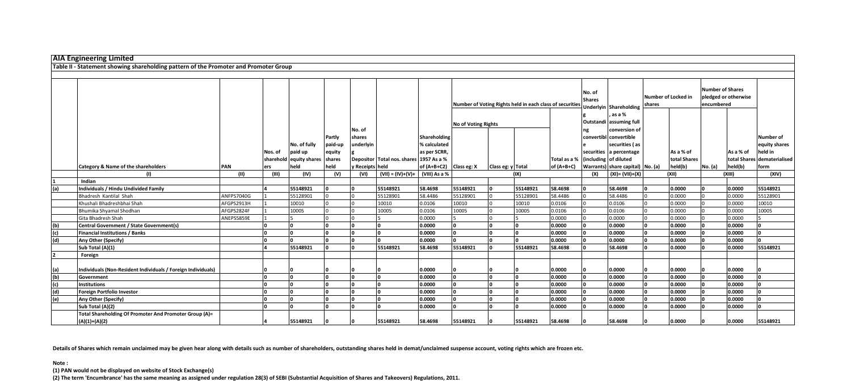|     | <b>AIA Engineering Limited</b>                                                       |            |         |                                |         |               |                                         |              |                                                          |                   |          |                                    |                         |                                     |                                      |              |                                                               |           |                             |
|-----|--------------------------------------------------------------------------------------|------------|---------|--------------------------------|---------|---------------|-----------------------------------------|--------------|----------------------------------------------------------|-------------------|----------|------------------------------------|-------------------------|-------------------------------------|--------------------------------------|--------------|---------------------------------------------------------------|-----------|-----------------------------|
|     |                                                                                      |            |         |                                |         |               |                                         |              |                                                          |                   |          |                                    |                         |                                     |                                      |              |                                                               |           |                             |
|     | Table II - Statement showing shareholding pattern of the Promoter and Promoter Group |            |         |                                |         |               |                                         |              |                                                          |                   |          |                                    |                         |                                     |                                      |              |                                                               |           |                             |
|     |                                                                                      |            |         |                                |         |               |                                         |              |                                                          |                   |          |                                    |                         |                                     |                                      |              |                                                               |           |                             |
|     |                                                                                      |            |         |                                |         |               |                                         |              | Number of Voting Rights held in each class of securities |                   |          |                                    | No. of<br><b>Shares</b> | Underlyin Shareholding              | <b>Number of Locked in</b><br>shares |              | <b>Number of Shares</b><br>pledged or otherwise<br>encumbered |           |                             |
|     |                                                                                      |            |         |                                |         |               |                                         |              |                                                          |                   |          |                                    |                         | . as a %<br>Outstandi assuming full |                                      |              |                                                               |           |                             |
|     |                                                                                      |            |         |                                |         | No. of        |                                         |              | <b>No of Voting Rights</b>                               |                   |          |                                    |                         | conversion of                       |                                      |              |                                                               |           |                             |
|     |                                                                                      |            |         |                                | Partly  | shares        |                                         | Shareholding |                                                          |                   |          |                                    |                         | convertibl convertible              |                                      |              |                                                               |           | <b>Number of</b>            |
|     |                                                                                      |            |         | No. of fully                   | paid-up | underlyin     |                                         | % calculated |                                                          |                   |          |                                    |                         | securities (as                      |                                      |              |                                                               |           | equity shares               |
|     |                                                                                      |            | Nos. of | paid up                        | equity  |               |                                         | as per SCRR, |                                                          |                   |          |                                    |                         | securities a percentage             |                                      | As a % of    |                                                               | As a % of | held in                     |
|     |                                                                                      |            |         | sharehold equity shares shares |         |               | Depositor Total nos. shares 1957 As a % |              |                                                          |                   |          | Total as a % (including of diluted |                         |                                     |                                      | total Shares |                                                               |           | total Shares dematerialised |
|     | Category & Name of the shareholders                                                  | PAN        | ers     | held                           | held    | Receipts held |                                         | of (A+B+C2)  | Class eg: X                                              | Class eg: y Total |          | of $(A+B+C)$                       |                         | Warrants) share capital) No. (a)    |                                      | held(b)      | No. (a)                                                       | held(b)   | form                        |
|     |                                                                                      | (II)       | (III)   | (IV)                           | (V)     | (VI)          | $(VII) = (IV)+(V)+$ (VIII) As a %       |              |                                                          |                   | (IX)     |                                    | (X)                     | $(XI) = (VII)+(X)$                  |                                      | (X  )        |                                                               | (X  )     | (XIV)                       |
|     | Indian                                                                               |            |         |                                |         |               |                                         |              |                                                          |                   |          |                                    |                         |                                     |                                      |              |                                                               |           |                             |
| (a) | Individuals / Hindu Undivided Family                                                 |            |         | 55148921                       |         |               | 55148921                                | 58.4698      | 55148921                                                 |                   | 55148921 | 58.4698                            |                         | 58.4698                             |                                      | 0.0000       |                                                               | 0.0000    | 55148921                    |
|     | Bhadresh Kantilal Shah                                                               | ANFPS7040G |         | 55128901                       |         |               | 55128901                                | 58.4486      | 55128901                                                 |                   | 55128901 | 58.4486                            |                         | 58,4486                             |                                      | 0.0000       |                                                               | 0.0000    | 55128901                    |
|     | Khushali Bhadreshbhai Shah                                                           | AFGPS2913H |         | 10010                          |         |               | 10010                                   | 0.0106       | 10010                                                    |                   | 10010    | 0.0106                             |                         | 0.0106                              |                                      | 0.0000       |                                                               | 0.0000    | 10010                       |
|     | Bhumika Shyamal Shodhan                                                              | AFGPS2824F |         | 10005                          |         |               | 10005                                   | 0.0106       | 10005                                                    |                   | 10005    | 0.0106                             |                         | 0.0106                              |                                      | 0.0000       |                                                               | 0.0000    | 10005                       |
|     | Gita Bhadresh Shah                                                                   | ANEPS5859E |         |                                |         |               |                                         | 0.0000       |                                                          |                   |          | 0.0000                             |                         | 0.0000                              |                                      | 0.0000       |                                                               | 0.0000    |                             |
| (b) | Central Government / State Government(s)                                             |            |         |                                |         |               |                                         | 0.0000       | I۵                                                       |                   |          | 0.0000                             | In                      | 0.0000                              |                                      | 0.0000       |                                                               | 0.0000    |                             |
| (c) | <b>Financial Institutions / Banks</b>                                                |            |         |                                |         |               |                                         | 0.0000       | I۵                                                       |                   |          | 0.0000                             | In                      | 0.0000                              |                                      | 0.0000       |                                                               | 0.0000    |                             |
| (d) | Any Other (Specify)                                                                  |            |         |                                |         |               |                                         | 0.0000       | I∩                                                       |                   |          | 0.0000                             | I۵                      | 0.0000                              |                                      | 0.0000       |                                                               | 0.0000    |                             |
|     | Sub Total (A)(1)                                                                     |            |         | 55148921                       |         |               | 55148921                                | 58.4698      | 55148921                                                 |                   | 55148921 | 58.4698                            |                         | 58.4698                             |                                      | 0.0000       |                                                               | 0.0000    | 55148921                    |
|     | Foreign                                                                              |            |         |                                |         |               |                                         |              |                                                          |                   |          |                                    |                         |                                     |                                      |              |                                                               |           |                             |
| (a) | Individuals (Non-Resident Individuals / Foreign Individuals)                         |            |         |                                |         |               |                                         | 0.0000       |                                                          |                   |          | 0.0000                             |                         | 0.0000                              |                                      | 0.0000       |                                                               | 0.0000    |                             |
| (b) | Government                                                                           |            |         |                                |         |               |                                         | 0.0000       | I۵                                                       |                   |          | 0.0000                             | I۵                      | 0.0000                              |                                      | 0.0000       |                                                               | 0.0000    |                             |
| (c) | <b>Institutions</b>                                                                  |            |         |                                |         |               |                                         | 0.0000       | I۵                                                       |                   |          | 0.0000                             | I۵                      | 0.0000                              |                                      | 0.0000       |                                                               | 0.0000    |                             |
| (d) | <b>Foreign Portfolio Investor</b>                                                    |            |         |                                |         |               |                                         | 0.0000       |                                                          |                   |          | 0.0000                             |                         | 0.0000                              |                                      | 0.0000       |                                                               | 0.0000    |                             |
| (e) | Any Other (Specify)                                                                  |            |         |                                |         |               |                                         | 0.0000       |                                                          |                   |          | 0.0000                             |                         | 0.0000                              |                                      | 0.0000       |                                                               | 0.0000    |                             |
|     | Sub Total (A)(2)                                                                     |            |         |                                |         |               |                                         | 0.0000       |                                                          |                   |          | 0.0000                             |                         | 0.0000                              |                                      | 0.0000       |                                                               | 0.0000    |                             |
|     | Total Shareholding Of Promoter And Promoter Group (A)=<br>$(A)(1)+(A)(2)$            |            |         | 55148921                       |         |               | 55148921                                | 58.4698      | 55148921                                                 |                   | 55148921 | 58.4698                            |                         | 58.4698                             |                                      | 0.0000       |                                                               | 0.0000    | 55148921                    |

**Details of Shares which remain unclaimed may be given hear along with details such as number of shareholders, outstanding shares held in demat/unclaimed suspense account, voting rights which are frozen etc.**

## **Note :**

**(1) PAN would not be displayed on website of Stock Exchange(s)** 

**(2) The term 'Encumbrance' has the same meaning as assigned under regulation 28(3) of SEBI (Substantial Acquisition of Shares and Takeovers) Regulations, 2011.**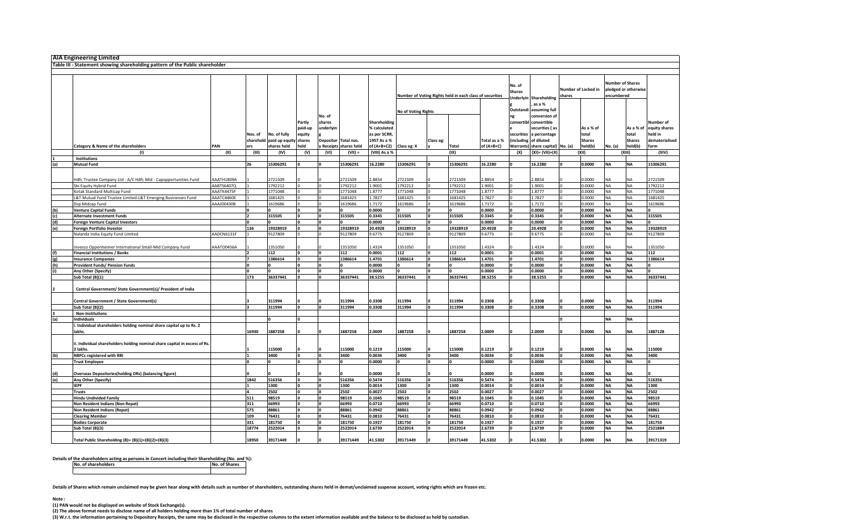|     | <b>AIA Engineering Limited</b>                                               |            |         |                          |              |              |                      |               |                     |              |                                                          |              |               |                                  |        |                     |                         |               |                |
|-----|------------------------------------------------------------------------------|------------|---------|--------------------------|--------------|--------------|----------------------|---------------|---------------------|--------------|----------------------------------------------------------|--------------|---------------|----------------------------------|--------|---------------------|-------------------------|---------------|----------------|
|     |                                                                              |            |         |                          |              |              |                      |               |                     |              |                                                          |              |               |                                  |        |                     |                         |               |                |
|     | Table III - Statement showing shareholding pattern of the Public shareholder |            |         |                          |              |              |                      |               |                     |              |                                                          |              |               |                                  |        |                     |                         |               |                |
|     |                                                                              |            |         |                          |              |              |                      |               |                     |              |                                                          |              |               |                                  |        |                     |                         |               |                |
|     |                                                                              |            |         |                          |              |              |                      |               |                     |              |                                                          |              |               |                                  |        |                     |                         |               |                |
|     |                                                                              |            |         |                          |              |              |                      |               |                     |              |                                                          |              | No. of        |                                  |        |                     | <b>Number of Shares</b> |               |                |
|     |                                                                              |            |         |                          |              |              |                      |               |                     |              |                                                          |              | <b>Shares</b> |                                  |        | Number of Locked in | pledged or otherwise    |               |                |
|     |                                                                              |            |         |                          |              |              |                      |               |                     |              | Number of Voting Rights held in each class of securities |              |               |                                  | shares |                     | encumbered              |               |                |
|     |                                                                              |            |         |                          |              |              |                      |               |                     |              |                                                          |              |               | <b>Underlyin Shareholding</b>    |        |                     |                         |               |                |
|     |                                                                              |            |         |                          |              |              |                      |               |                     |              |                                                          |              |               | as a %                           |        |                     |                         |               |                |
|     |                                                                              |            |         |                          |              |              |                      |               | No of Voting Rights |              |                                                          |              | Outstandi     | assuming full                    |        |                     |                         |               |                |
|     |                                                                              |            |         |                          |              | No. of       |                      |               |                     |              |                                                          |              | ng            | conversion of                    |        |                     |                         |               |                |
|     |                                                                              |            |         |                          | Partly       | shares       |                      | Shareholding  |                     |              |                                                          |              | convertibl    | convertible                      |        |                     |                         |               | Number of      |
|     |                                                                              |            |         |                          |              |              |                      |               |                     |              |                                                          |              |               |                                  |        |                     |                         |               |                |
|     |                                                                              |            |         |                          | paid-up      | underlyin    |                      | % calculated  |                     |              |                                                          |              |               | securities (as                   |        | As a % of           |                         | As a % of     | equity shares  |
|     |                                                                              |            | Nos. of | No. of fully             | equity       |              |                      | as per SCRR,  |                     |              |                                                          |              | securities    | percentage                       |        | total               |                         | total         | held in        |
|     |                                                                              |            |         | sharehold paid up equity | shares       |              | Depositor Total nos. | 1957 As a %   |                     | Class eg:    |                                                          | Total as a % | (including    | of diluted                       |        | <b>Shares</b>       |                         | <b>Shares</b> | dematerialised |
|     | Category & Name of the shareholders                                          | PAN        | ers     | shares held              | held         |              | Receipts shares held | of (A+B+C2)   | Class eg: X         |              | Total                                                    | of $(A+B+C)$ |               | Warrants) share capital) No. (a) |        | held(b)             | No. (a)                 | held(b)       | form           |
|     | $\mathbf{u}$                                                                 | (11)       | (III)   | (IV)                     | (V)          | (VI)         | $(VII) =$            | (VIII) As a % |                     |              | (IX)                                                     |              | (X)           | $(XI) = (VII)+(X)$               |        | (XII)               |                         | (XIII)        | (XIV)          |
|     | Institutions                                                                 |            |         |                          |              |              |                      |               |                     |              |                                                          |              |               |                                  |        |                     |                         |               |                |
| (a) | <b>Mutual Fund</b>                                                           |            | 26      | 15306291                 | $\mathbf{a}$ | n            | 15306291             | 16.2280       | 15306291            |              | 15306291                                                 | 16.2280      | 'n.           | 16.2280                          |        | 0.0000              | <b>NA</b>               | <b>NA</b>     | 15306291       |
|     |                                                                              |            |         |                          |              |              |                      |               |                     |              |                                                          |              |               |                                  |        |                     |                         |               |                |
|     |                                                                              |            |         |                          |              |              |                      |               |                     |              |                                                          |              |               |                                  |        |                     |                         |               |                |
|     | Hdfc Trustee Company Ltd - A/C Hdfc Mid - Capopportunities Fund              | AAATH1809A |         | 2721509                  |              |              | 2721509              | 2.8854        | 2721509             |              | 2721509                                                  | 2.8854       |               | 2.8854                           |        | 0000                | <b>NA</b>               | NA            | 2721509        |
|     | Sbi Equity Hybrid Fund                                                       | AABTS6407Q |         | 1792212                  |              | $\Omega$     | 1792212              | L.9001        | 1792212             |              | 1792212                                                  | 1.9001       | O.            | 1.9001                           |        | 0000.               | <b>NA</b>               | <b>NA</b>     | 1792212        |
|     |                                                                              | AAATK4475F |         | 1771048                  |              | $\Omega$     | 1771048              | 1.8777        | 1771048             |              | 1771048                                                  | 1.8777       |               | 1.8777                           |        | 0000                | <b>NA</b>               | NA            | 1771048        |
|     | Kotak Standard Multicap Fund                                                 |            |         |                          |              |              |                      |               |                     |              |                                                          |              |               |                                  |        |                     |                         |               |                |
|     | L&T Mutual Fund Trustee Limited-L&T Emerging Businesses Fund                 | AAATC4460E |         | 1681425                  |              | $\Omega$     | 1681425              | 1.7827        | 1681425             |              | 1681425                                                  | 1.7827       |               | 1.7827                           |        | 0.0000              | <b>NA</b>               | <b>NA</b>     | 1681425        |
|     | Dsp Midcap Fund                                                              | AAAJD0430B |         | 1619686                  |              | $\Omega$     | 1619686              | 1.7172        | 1619686             |              | 1619686                                                  | 1.7172       |               | 1.7172                           |        | 0,000.              | <b>NA</b>               | <b>NA</b>     | 1619686        |
| (b) | <b>Venture Capital Funds</b>                                                 |            |         | l o                      |              | l o          |                      | 0.0000        | $\Omega$            |              | O                                                        | 0.0000       |               | 0.0000                           |        | 0.0000              | <b>NA</b>               | <b>NA</b>     |                |
| (c) | <b>Alternate Investment Funds</b>                                            |            |         | 315505                   |              | $\mathbf{a}$ | 315505               | 0.3345        | 315505              |              | 315505                                                   | 0.3345       |               | 0.3345                           |        | 0000.0              | <b>NA</b>               | <b>NA</b>     | 315505         |
| (d) | <b>Foreign Venture Capital Investors</b>                                     |            |         | l٥                       |              | n            |                      | 0000.0        |                     |              | n                                                        | 0.0000       |               | 0.0000                           |        | ,0000               | <b>NA</b>               | <b>NA</b>     |                |
| (e) | <b>Foreign Portfolio Investor</b>                                            |            | 136     | 19328919                 |              | $\mathbf{0}$ | 19328919             | 20.4928       | 19328919            |              | 19328919                                                 | 20.4928      |               | 20.4928                          |        | 0000                | <b>NA</b>               | <b>NA</b>     | 19328919       |
|     |                                                                              |            |         |                          |              | $\Omega$     |                      |               |                     |              |                                                          | 9.6775       |               | 9.6775                           |        | 0.0000              | <b>NA</b>               |               |                |
|     | Nalanda India Equity Fund Limited                                            | AADCN6131F |         | 9127809                  |              |              | 9127809              | 9.6775        | 9127809             |              | 9127809                                                  |              |               |                                  |        |                     |                         | <b>NA</b>     | 9127809        |
|     |                                                                              |            |         |                          |              |              |                      |               |                     |              |                                                          |              |               |                                  |        |                     |                         |               |                |
|     | nvesco Oppenheimer International Small-Mid Company Fund                      | AAATO0456A |         | 1351050                  |              | $\Omega$     | 1351050              | 1.4324        | 1351050             |              | 1351050                                                  | 1.4324       |               | 1.4324                           |        | 0000                | <b>NA</b>               | <b>NA</b>     | 1351050        |
| (f) | <b>Financial Institutions / Banks</b>                                        |            |         | 112                      |              | ١o           | 112                  | 0.0001        | 112                 |              | 112                                                      | 0.0001       |               | 0.0001                           |        | 0.0000              | <b>NA</b>               | <b>NA</b>     | 112            |
| g   | <b>Insurance Companies</b>                                                   |            |         | 1386614                  |              | l o          | 1386614              | 1.4701        | 1386614             | O            | 1386614                                                  | 1.4701       |               | 1.4701                           |        | 0000.0              | <b>NA</b>               | <b>NA</b>     | 1386614        |
| (h) | <b>Provident Funds/ Pension Funds</b>                                        |            | ١o      | ١o                       | ١n           | l o          | $\mathbf{0}$         | 0.0000        | $\mathbf{0}$        |              | ١o                                                       | 0.0000       |               | 0.0000                           |        | 0.0000              | <b>NA</b>               | <b>NA</b>     | ١o             |
|     | Any Other (Specify)                                                          |            |         | ١o                       |              | l o          |                      | 0.0000        |                     |              | n                                                        | 0.0000       |               | 0.0000                           |        | 0,000,0             | <b>NA</b>               | <b>NA</b>     |                |
|     | Sub Total (B)(1)                                                             |            | 173     | 36337441                 |              | ١o           | 36337441             | 38.5255       | 36337441            |              | 36337441                                                 | 38.5255      |               | 38.5255                          |        | 0.0000              | <b>NA</b>               | NA            | 36337441       |
|     |                                                                              |            |         |                          |              |              |                      |               |                     |              |                                                          |              |               |                                  |        |                     |                         |               |                |
|     |                                                                              |            |         |                          |              |              |                      |               |                     |              |                                                          |              |               |                                  |        |                     |                         |               |                |
|     | Central Government/ State Government(s)/ President of India                  |            |         |                          |              |              |                      |               |                     |              |                                                          |              |               |                                  |        |                     |                         |               |                |
|     |                                                                              |            |         |                          |              |              |                      |               |                     |              |                                                          |              |               |                                  |        |                     |                         |               |                |
|     | Central Government / State Government(s)                                     |            |         | 311994                   |              |              | 311994               | 0.3308        | 311994              |              | 311994                                                   | 0.3308       |               | 0.3308                           |        | ,0000               | <b>NA</b>               | NA            | 311994         |
|     | Sub Total (B)(2)                                                             |            |         | 311994                   |              | n            | 311994               | 0.3308        | 311994              |              | 311994                                                   | 0.3308       |               | 0.3308                           |        | 0.0000              | <b>NA</b>               | <b>NA</b>     | 311994         |
|     | <b>Non-Institutions</b>                                                      |            |         |                          |              |              |                      |               |                     |              |                                                          |              |               |                                  |        |                     |                         |               |                |
| (a) | Individuals                                                                  |            |         | ١o                       | ١o           |              |                      |               |                     |              |                                                          |              |               |                                  |        |                     | <b>NA</b>               | <b>NA</b>     |                |
|     | i. Individual shareholders holding nominal share capital up to Rs. 2         |            |         |                          |              |              |                      |               |                     |              |                                                          |              |               |                                  |        |                     |                         |               |                |
|     | lakhs.                                                                       |            | 16930   | 1887258                  |              |              | 1887258              | 2.0009        | 1887258             |              | 1887258                                                  | 2.0009       |               | 2.0009                           |        | 0000.0              | <b>NA</b>               | NA            | 1887128        |
|     |                                                                              |            |         |                          |              |              |                      |               |                     |              |                                                          |              |               |                                  |        |                     |                         |               |                |
|     |                                                                              |            |         |                          |              |              |                      |               |                     |              |                                                          |              |               |                                  |        |                     |                         |               |                |
|     | ii. Individual shareholders holding nominal share capital in excess of Rs    |            |         |                          |              |              |                      |               |                     |              |                                                          |              |               |                                  |        |                     |                         |               |                |
|     | 2 lakhs.                                                                     |            |         | 115000                   |              |              | 115000               | 0.1219        | 115000              |              | 115000                                                   | 0.1219       |               | 0.1219                           |        | 0000                | <b>NA</b>               | <b>NA</b>     | 115000         |
| (b) | <b>NBFCs registered with RBI</b>                                             |            |         | 3400                     | $\Omega$     | l o          | 3400                 | 0.0036        | 3400                | O            | 3400                                                     | 0.0036       |               | 0.0036                           |        | 0.0000              | <b>NA</b>               | <b>NA</b>     | 3400           |
|     | <b>Trust Employee</b>                                                        |            | I٥      | ١o                       | ١n           | l o          | ١n                   | 0.0000        | $\mathbf{o}$        | $\mathbf{r}$ | O                                                        | 0.0000       |               | 0.0000                           |        | 0000.0              | <b>NA</b>               | <b>NA</b>     |                |
|     |                                                                              |            |         |                          |              |              |                      |               |                     |              |                                                          |              |               |                                  |        |                     |                         |               |                |
| (d) | <b>Overseas Depositories(holding DRs) (balancing figure)</b>                 |            |         |                          |              |              |                      | 0.0000        |                     |              |                                                          | 0.0000       |               | 0.0000                           |        | 0000.               | <b>NA</b>               | NA            |                |
| (e) | Any Other (Specify)                                                          |            | 1842    | 516356                   | ln.          | l o          | 516356               | 0.5474        | 516356              | $\mathbf{r}$ | 516356                                                   | 0.5474       |               | 0.5474                           |        | 0,000,0             | <b>NA</b>               | <b>NA</b>     | 516356         |
|     | <b>IEPF</b>                                                                  |            |         | 1300                     |              | $\Omega$     | 1300                 | 0.0014        | 1300                |              | 1300                                                     | 0.0014       |               | 0.0014                           |        | 0,000,0             | <b>NA</b>               | <b>NA</b>     | 1300           |
|     |                                                                              |            |         |                          |              | ١o           |                      |               |                     |              |                                                          |              |               |                                  |        |                     |                         |               |                |
|     | <b>Trusts</b>                                                                |            |         | 2502                     |              |              | 2502                 | 0.0027        | 2502                |              | 2502                                                     | 0.0027       |               | 0.0027                           |        | 0000.0              | <b>NA</b>               | NA            | 2502           |
|     | <b>Hindu Undivided Family</b>                                                |            | 511     | 98519                    |              | $\Omega$     | 98519                | 0.1045        | 98519               |              | 98519                                                    | 0.1045       |               | 0.1045                           |        | 0.0000              | <b>NA</b>               | <b>NA</b>     | 98519          |
|     | Non Resident Indians (Non Repat)                                             |            | 311     | 66993                    |              | l o          | 66993                | 0.0710        | 66993               |              | 66993                                                    | 0.0710       |               | 0.0710                           |        | 0.0000              | <b>NA</b>               | <b>NA</b>     | 66993          |
|     | Non Resident Indians (Repat)                                                 |            | 575     | 88861                    |              | $\Omega$     | 88861                | 0.0942        | 88861               |              | 88861                                                    | 0.0942       |               | 0.0942                           |        | 0000.               | <b>NA</b>               | <b>NA</b>     | 88861          |
|     | <b>Clearing Member</b>                                                       |            | 109     | 76431                    | o            | l o          | 76431                | 0.0810        | 76431               |              | 76431                                                    | 0.0810       |               | 0.0810                           |        | 0,000,0             | <b>NA</b>               | <b>NA</b>     | 76431          |
|     | <b>Bodies Corporate</b>                                                      |            | 331     | 181750                   |              | l o          | 181750               | 0.1927        | 181750              |              | 181750                                                   | 0.1927       |               | 0.1927                           |        | 0000.               | <b>NA</b>               | <b>NA</b>     | 181750         |
|     | Sub Total (B)(3)                                                             |            | 18774   | 2522014                  |              | n            | 2522014              | 2.6739        | 2522014             |              | 2522014                                                  | 2.6739       |               | 2.6739                           |        | 0.0000              | <b>NA</b>               | <b>NA</b>     | 2521884        |
|     |                                                                              |            |         |                          |              |              |                      |               |                     |              |                                                          |              |               |                                  |        |                     |                         |               |                |
|     | Total Public Shareholding (B)= (B)(1)+(B)(2)+(B)(3)                          |            | 18950   | 39171449                 |              | n            | 39171449             | 41.5302       | 39171449            |              | 39171449                                                 | 41.5302      |               | 41.5302                          |        | 0000.               | <b>NA</b>               | <b>NA</b>     | 39171319       |
|     |                                                                              |            |         |                          |              |              |                      |               |                     |              |                                                          |              |               |                                  |        |                     |                         |               |                |

**Details of the shareholders acting as persons in Concert including their Shareholding (No. and %): No. of shareholders No. of Shares**

**Details of Shares which remain unclaimed may be given hear along with details such as number of shareholders, outstanding shares held in demat/unclaimed suspense account, voting rights which are frozen etc.**

**Note :**

(1) PAN would not be displayed on website of Stock Exchange(s).<br>(2) The above format needs to disclose name of all holders holding more than 1% of total number of shares

(3) W.r.t. the information pertaining to Depository Receipts, the same may be disclosed in the respective columns to the extent information available and the balance to be disclosed as held by custodian.